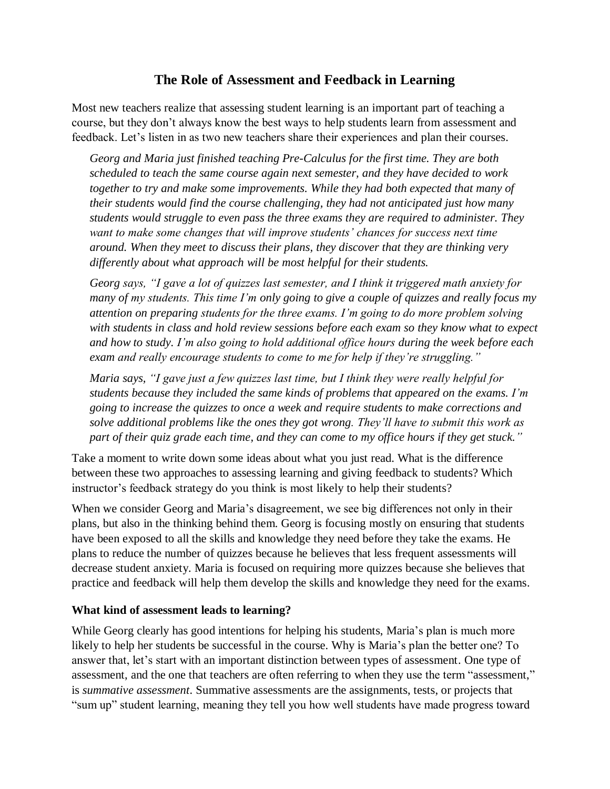## **The Role of Assessment and Feedback in Learning**

Most new teachers realize that assessing student learning is an important part of teaching a course, but they don't always know the best ways to help students learn from assessment and feedback. Let's listen in as two new teachers share their experiences and plan their courses.

*Georg and Maria just finished teaching Pre-Calculus for the first time. They are both scheduled to teach the same course again next semester, and they have decided to work together to try and make some improvements. While they had both expected that many of their students would find the course challenging, they had not anticipated just how many students would struggle to even pass the three exams they are required to administer. They*  want to make some changes that will improve students' chances for success next time *around. When they meet to discuss their plans, they discover that they are thinking very differently about what approach will be most helpful for their students.*

*Georg says, "I gave a lot of quizzes last semester, and I think it triggered math anxiety for many of my students. This time I'm only going to give a couple of quizzes and really focus my attention on preparing students for the three exams. I'm going to do more problem solving with students in class and hold review sessions before each exam so they know what to expect and how to study. I'm also going to hold additional office hours during the week before each exam and really encourage students to come to me for help if they're struggling."*

*Maria says, "I gave just a few quizzes last time, but I think they were really helpful for students because they included the same kinds of problems that appeared on the exams. I'm going to increase the quizzes to once a week and require students to make corrections and solve additional problems like the ones they got wrong. They'll have to submit this work as part of their quiz grade each time, and they can come to my office hours if they get stuck."* 

Take a moment to write down some ideas about what you just read. What is the difference between these two approaches to assessing learning and giving feedback to students? Which instructor's feedback strategy do you think is most likely to help their students?

When we consider Georg and Maria's disagreement, we see big differences not only in their plans, but also in the thinking behind them. Georg is focusing mostly on ensuring that students have been exposed to all the skills and knowledge they need before they take the exams. He plans to reduce the number of quizzes because he believes that less frequent assessments will decrease student anxiety. Maria is focused on requiring more quizzes because she believes that practice and feedback will help them develop the skills and knowledge they need for the exams.

#### **What kind of assessment leads to learning?**

While Georg clearly has good intentions for helping his students, Maria's plan is much more likely to help her students be successful in the course. Why is Maria's plan the better one? To answer that, let's start with an important distinction between types of assessment. One type of assessment, and the one that teachers are often referring to when they use the term "assessment," is *summative assessment*. Summative assessments are the assignments, tests, or projects that "sum up" student learning, meaning they tell you how well students have made progress toward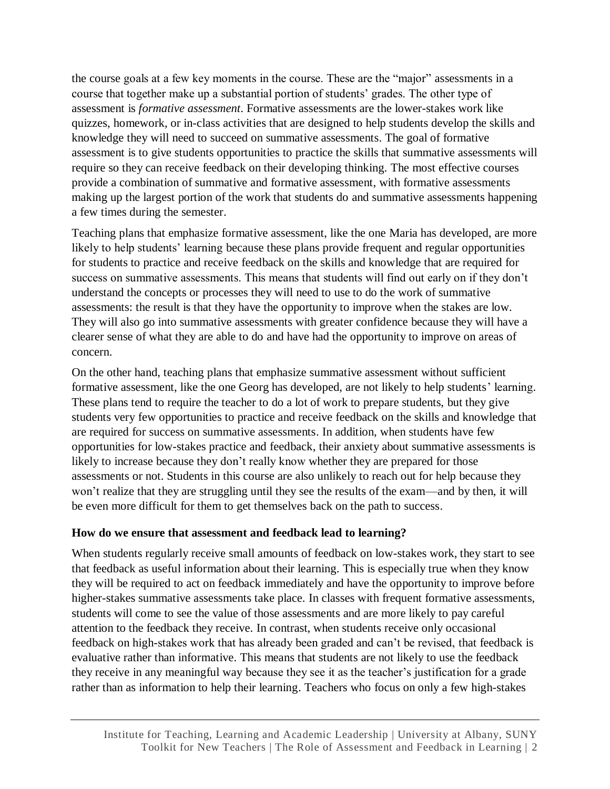the course goals at a few key moments in the course. These are the "major" assessments in a course that together make up a substantial portion of students' grades. The other type of assessment is *formative assessment*. Formative assessments are the lower-stakes work like quizzes, homework, or in-class activities that are designed to help students develop the skills and knowledge they will need to succeed on summative assessments. The goal of formative assessment is to give students opportunities to practice the skills that summative assessments will require so they can receive feedback on their developing thinking. The most effective courses provide a combination of summative and formative assessment, with formative assessments making up the largest portion of the work that students do and summative assessments happening a few times during the semester.

Teaching plans that emphasize formative assessment, like the one Maria has developed, are more likely to help students' learning because these plans provide frequent and regular opportunities for students to practice and receive feedback on the skills and knowledge that are required for success on summative assessments. This means that students will find out early on if they don't understand the concepts or processes they will need to use to do the work of summative assessments: the result is that they have the opportunity to improve when the stakes are low. They will also go into summative assessments with greater confidence because they will have a clearer sense of what they are able to do and have had the opportunity to improve on areas of concern.

On the other hand, teaching plans that emphasize summative assessment without sufficient formative assessment, like the one Georg has developed, are not likely to help students' learning. These plans tend to require the teacher to do a lot of work to prepare students, but they give students very few opportunities to practice and receive feedback on the skills and knowledge that are required for success on summative assessments. In addition, when students have few opportunities for low-stakes practice and feedback, their anxiety about summative assessments is likely to increase because they don't really know whether they are prepared for those assessments or not. Students in this course are also unlikely to reach out for help because they won't realize that they are struggling until they see the results of the exam—and by then, it will be even more difficult for them to get themselves back on the path to success.

### **How do we ensure that assessment and feedback lead to learning?**

When students regularly receive small amounts of feedback on low-stakes work, they start to see that feedback as useful information about their learning. This is especially true when they know they will be required to act on feedback immediately and have the opportunity to improve before higher-stakes summative assessments take place. In classes with frequent formative assessments, students will come to see the value of those assessments and are more likely to pay careful attention to the feedback they receive. In contrast, when students receive only occasional feedback on high-stakes work that has already been graded and can't be revised, that feedback is evaluative rather than informative. This means that students are not likely to use the feedback they receive in any meaningful way because they see it as the teacher's justification for a grade rather than as information to help their learning. Teachers who focus on only a few high-stakes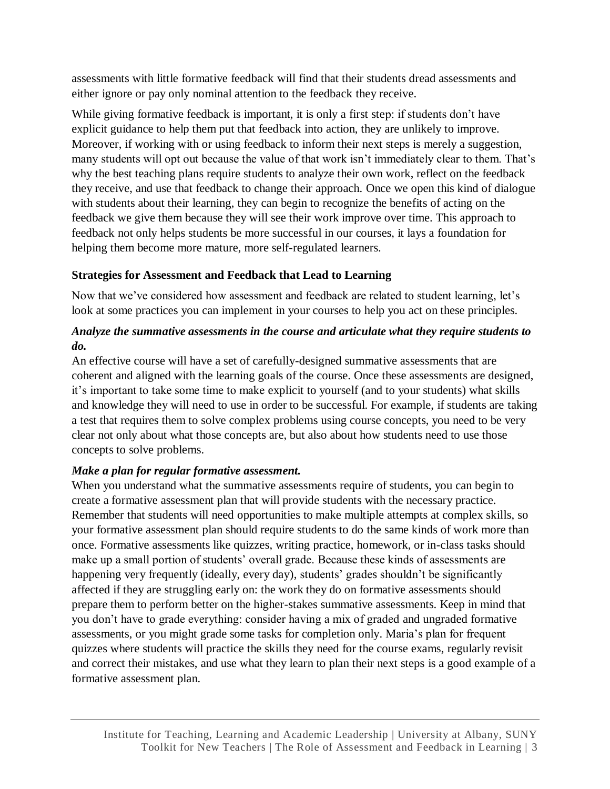assessments with little formative feedback will find that their students dread assessments and either ignore or pay only nominal attention to the feedback they receive.

While giving formative feedback is important, it is only a first step: if students don't have explicit guidance to help them put that feedback into action, they are unlikely to improve. Moreover, if working with or using feedback to inform their next steps is merely a suggestion, many students will opt out because the value of that work isn't immediately clear to them. That's why the best teaching plans require students to analyze their own work, reflect on the feedback they receive, and use that feedback to change their approach. Once we open this kind of dialogue with students about their learning, they can begin to recognize the benefits of acting on the feedback we give them because they will see their work improve over time. This approach to feedback not only helps students be more successful in our courses, it lays a foundation for helping them become more mature, more self-regulated learners.

## **Strategies for Assessment and Feedback that Lead to Learning**

Now that we've considered how assessment and feedback are related to student learning, let's look at some practices you can implement in your courses to help you act on these principles.

## *Analyze the summative assessments in the course and articulate what they require students to do.*

An effective course will have a set of carefully-designed summative assessments that are coherent and aligned with the learning goals of the course. Once these assessments are designed, it's important to take some time to make explicit to yourself (and to your students) what skills and knowledge they will need to use in order to be successful. For example, if students are taking a test that requires them to solve complex problems using course concepts, you need to be very clear not only about what those concepts are, but also about how students need to use those concepts to solve problems.

# *Make a plan for regular formative assessment.*

When you understand what the summative assessments require of students, you can begin to create a formative assessment plan that will provide students with the necessary practice. Remember that students will need opportunities to make multiple attempts at complex skills, so your formative assessment plan should require students to do the same kinds of work more than once. Formative assessments like quizzes, writing practice, homework, or in-class tasks should make up a small portion of students' overall grade. Because these kinds of assessments are happening very frequently (ideally, every day), students' grades shouldn't be significantly affected if they are struggling early on: the work they do on formative assessments should prepare them to perform better on the higher-stakes summative assessments. Keep in mind that you don't have to grade everything: consider having a mix of graded and ungraded formative assessments, or you might grade some tasks for completion only. Maria's plan for frequent quizzes where students will practice the skills they need for the course exams, regularly revisit and correct their mistakes, and use what they learn to plan their next steps is a good example of a formative assessment plan.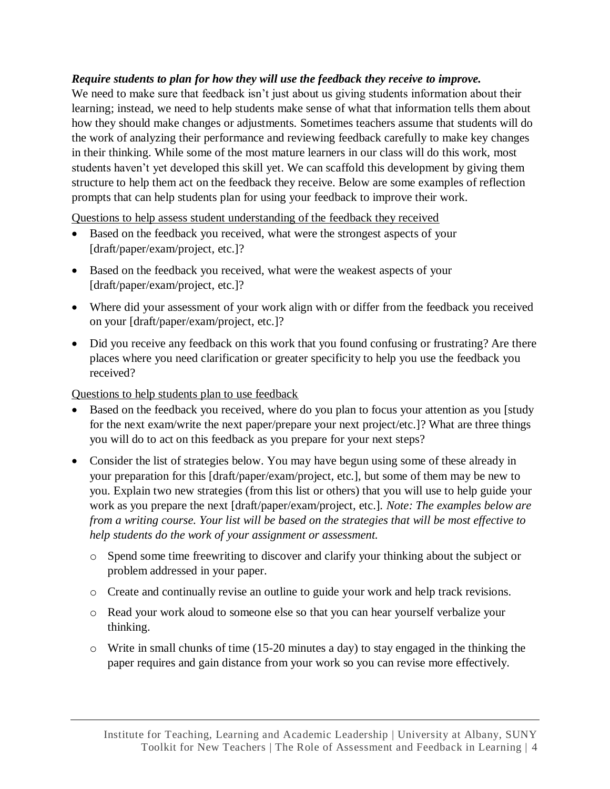#### *Require students to plan for how they will use the feedback they receive to improve.*

We need to make sure that feedback isn't just about us giving students information about their learning; instead, we need to help students make sense of what that information tells them about how they should make changes or adjustments. Sometimes teachers assume that students will do the work of analyzing their performance and reviewing feedback carefully to make key changes in their thinking. While some of the most mature learners in our class will do this work, most students haven't yet developed this skill yet. We can scaffold this development by giving them structure to help them act on the feedback they receive. Below are some examples of reflection prompts that can help students plan for using your feedback to improve their work.

Questions to help assess student understanding of the feedback they received

- Based on the feedback you received, what were the strongest aspects of your [draft/paper/exam/project, etc.]?
- Based on the feedback you received, what were the weakest aspects of your [draft/paper/exam/project, etc.]?
- Where did your assessment of your work align with or differ from the feedback you received on your [draft/paper/exam/project, etc.]?
- Did you receive any feedback on this work that you found confusing or frustrating? Are there places where you need clarification or greater specificity to help you use the feedback you received?

Questions to help students plan to use feedback

- Based on the feedback you received, where do you plan to focus your attention as you [study for the next exam/write the next paper/prepare your next project/etc.]? What are three things you will do to act on this feedback as you prepare for your next steps?
- Consider the list of strategies below. You may have begun using some of these already in your preparation for this [draft/paper/exam/project, etc.], but some of them may be new to you. Explain two new strategies (from this list or others) that you will use to help guide your work as you prepare the next [draft/paper/exam/project, etc.]. *Note: The examples below are from a writing course. Your list will be based on the strategies that will be most effective to help students do the work of your assignment or assessment.*
	- o Spend some time freewriting to discover and clarify your thinking about the subject or problem addressed in your paper.
	- o Create and continually revise an outline to guide your work and help track revisions.
	- o Read your work aloud to someone else so that you can hear yourself verbalize your thinking.
	- $\circ$  Write in small chunks of time (15-20 minutes a day) to stay engaged in the thinking the paper requires and gain distance from your work so you can revise more effectively.